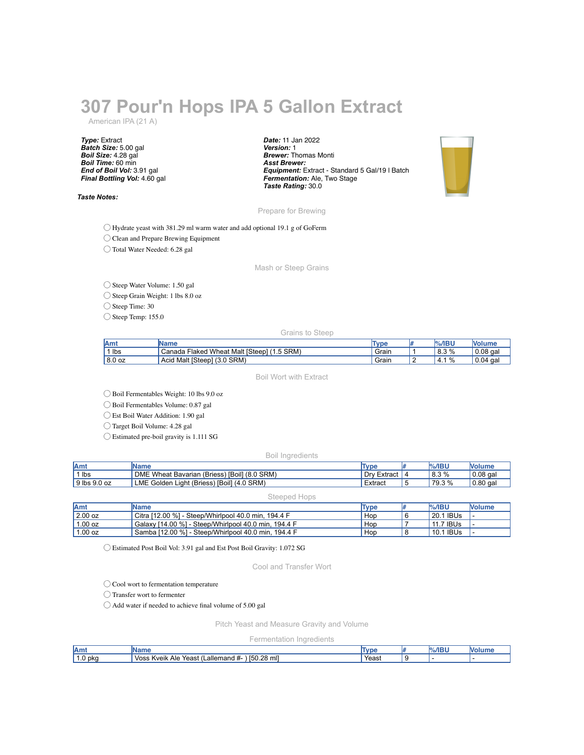# **307 Pour'n Hops IPA 5 Gallon Extract**

American IPA (21 A)

*Type:* Extract *Batch Size:* 5.00 gal *Boil Size:* 4.28 gal *Boil Time:* 60 min *End of Boil Vol:* 3.91 gal *Final Bottling Vol:* 4.60 gal

*Taste Notes:*

*Date:* 11 Jan 2022 *Version:* 1 *Brewer:* Thomas Monti *Asst Brewer: Equipment:* Extract - Standard 5 Gal/19 l Batch *Fermentation:* Ale, Two Stage *Taste Rating:* 30.0



Prepare for Brewing

◯ Hydrate yeast with 381.29 ml warm water and add optional 19.1 g of GoFerm

◯ Clean and Prepare Brewing Equipment

◯ Total Water Needed: 6.28 gal

Mash or Steep Grains

◯ Steep Water Volume: 1.50 gal

◯ Steep Grain Weight: 1 lbs 8.0 oz

◯ Steep Time: 30

◯ Steep Temp: 155.0

Grains to Steep

| <b>IAmt</b> | <b>IName</b>                                         | <b>Type</b> | %/IBU      | ™ Volun⊾   |
|-------------|------------------------------------------------------|-------------|------------|------------|
| lbs         | 1.5 SRM)<br>I Wheat Malt [Steep]<br>∃laked<br>Canada | Grain       | 8.3%       | 0.08 gal   |
| 8.0 oz      | $(3.0$ SRM)<br>Malt [Steep]<br>Acid                  | Grain       | %<br>'4. . | 0.04<br>ga |

Boil Wort with Extract

◯ Boil Fermentables Weight: 10 lbs 9.0 oz

◯ Boil Fermentables Volume: 0.87 gal

◯ Est Boil Water Addition: 1.90 gal

◯ Target Boil Volume: 4.28 gal

◯ Estimated pre-boil gravity is 1.111 SG

Boil Ingredients

| Amt          | <b>IName</b>                                 | Type        | $%$ /IBU | <b>Nolume</b> |
|--------------|----------------------------------------------|-------------|----------|---------------|
| 1 lbs        | DME Wheat Bavarian (Briess) [Boil] (8.0 SRM) | Dry Extract | 8.3%     | $10.08$ gal   |
| 9 lbs 9.0 oz | LME Golden Light (Briess) [Boil] (4.0 SRM)   | Extract     | 79.3 %   | $0.80$ gal    |

#### Steeped Hops

| <b>Amt</b> | <b>IName</b>                                         | Type             | $\frac{9}{6}$ /IBU | <b>Nolume</b> |
|------------|------------------------------------------------------|------------------|--------------------|---------------|
| 2.00 oz    | Citra [12.00 %] - Steep/Whirlpool 40.0 min. 194.4 F  | Hop              | l 20.1 IBUs        |               |
| 1.00 oz    | Galaxy [14.00 %] - Steep/Whirlpool 40.0 min, 194.4 F | ' Hop            | 11.7 IBUs          |               |
| 1.00 oz    | Samba [12.00 %] - Steep/Whirlpool 40.0 min. 194.4 F  | Hop <sup>1</sup> | 10.1 IBUs          |               |

◯ Estimated Post Boil Vol: 3.91 gal and Est Post Boil Gravity: 1.072 SG

Cool and Transfer Wort

◯ Cool wort to fermentation temperature

◯ Transfer wort to fermenter

◯ Add water if needed to achieve final volume of 5.00 gal

Pitch Yeast and Measure Gravity and Volume

Fermentation Ingredients

| Amı   | بمعرما<br>.me                                                   | <b>Type</b> | %/IBI | <b>Volum</b> |
|-------|-----------------------------------------------------------------|-------------|-------|--------------|
| 0 pka | mll<br>[50.28]<br>Voss<br>_allemand #-<br>Yeast<br>Kveik<br>Ale | Yeast       |       |              |